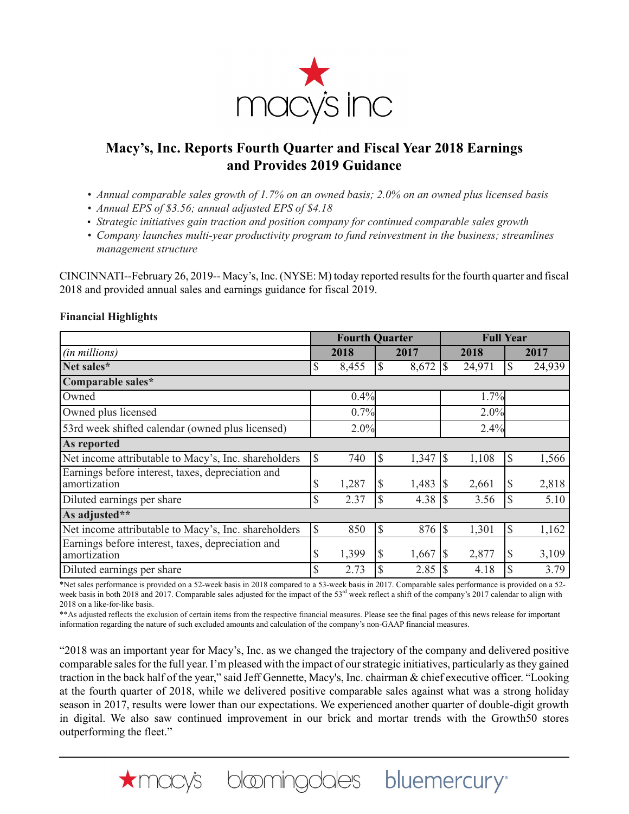

# **Macy's, Inc. Reports Fourth Quarter and Fiscal Year 2018 Earnings and Provides 2019 Guidance**

- *Annual comparable sales growth of 1.7% on an owned basis; 2.0% on an owned plus licensed basis*
- *Annual EPS of \$3.56; annual adjusted EPS of \$4.18*
- *Strategic initiatives gain traction and position company for continued comparable sales growth*
- *Company launches multi-year productivity program to fund reinvestment in the business; streamlines management structure*

CINCINNATI--February 26, 2019-- Macy's, Inc. (NYSE: M) today reported results for the fourth quarter and fiscal 2018 and provided annual sales and earnings guidance for fiscal 2019.

|                                                                   | <b>Fourth Quarter</b> |       |    |            |               | <b>Full Year</b> |               |        |
|-------------------------------------------------------------------|-----------------------|-------|----|------------|---------------|------------------|---------------|--------|
| (in millions)                                                     |                       | 2018  |    | 2017       |               | 2018             |               | 2017   |
| Net sales*                                                        | \$                    | 8,455 | \$ | 8,672      | $\mathcal{S}$ | 24,971           | \$            | 24,939 |
| Comparable sales*                                                 |                       |       |    |            |               |                  |               |        |
| Owned                                                             |                       | 0.4%  |    |            |               | 1.7%             |               |        |
| Owned plus licensed                                               |                       | 0.7%  |    |            |               | 2.0%             |               |        |
| 53rd week shifted calendar (owned plus licensed)                  |                       | 2.0%  |    |            |               | 2.4%             |               |        |
| As reported                                                       |                       |       |    |            |               |                  |               |        |
| Net income attributable to Macy's, Inc. shareholders              | $\mathbb{S}$          | 740   | \$ | $1,347$ \$ |               | 1,108            | $\mathbb{S}$  | 1,566  |
| Earnings before interest, taxes, depreciation and<br>amortization |                       | 1,287 | S  | 1,483      |               | 2,661            | \$            | 2,818  |
| Diluted earnings per share                                        | $\mathsf{\$}$         | 2.37  |    |            |               | 3.56             | $\mathcal{S}$ | 5.10   |
| As adjusted**                                                     |                       |       |    |            |               |                  |               |        |
| Net income attributable to Macy's, Inc. shareholders              | $\mathcal{S}$         | 850   | \$ | 876        | $\mathcal{S}$ | 1,301            | $\mathbb{S}$  | 1,162  |
| Earnings before interest, taxes, depreciation and<br>amortization |                       | 1,399 | \$ | 1,667      |               | 2,877            | $\mathcal{S}$ | 3,109  |
| Diluted earnings per share                                        | \$                    | 2.73  |    | 2.85       |               | 4.18             | \$            | 3.79   |

### **Financial Highlights**

\*Net sales performance is provided on a 52-week basis in 2018 compared to a 53-week basis in 2017. Comparable sales performance is provided on a 52 week basis in both 2018 and 2017. Comparable sales adjusted for the impact of the 53<sup>rd</sup> week reflect a shift of the company's 2017 calendar to align with 2018 on a like-for-like basis.

\*\*As adjusted reflects the exclusion of certain items from the respective financial measures. Please see the final pages of this news release for important information regarding the nature of such excluded amounts and calculation of the company's non-GAAP financial measures.

"2018 was an important year for Macy's, Inc. as we changed the trajectory of the company and delivered positive comparable sales for the full year. I'm pleased with the impact of our strategic initiatives, particularly as they gained traction in the back half of the year," said Jeff Gennette, Macy's, Inc. chairman & chief executive officer. "Looking at the fourth quarter of 2018, while we delivered positive comparable sales against what was a strong holiday season in 2017, results were lower than our expectations. We experienced another quarter of double-digit growth in digital. We also saw continued improvement in our brick and mortar trends with the Growth50 stores outperforming the fleet."

 $\star$ macy's bloomingdales bluemercury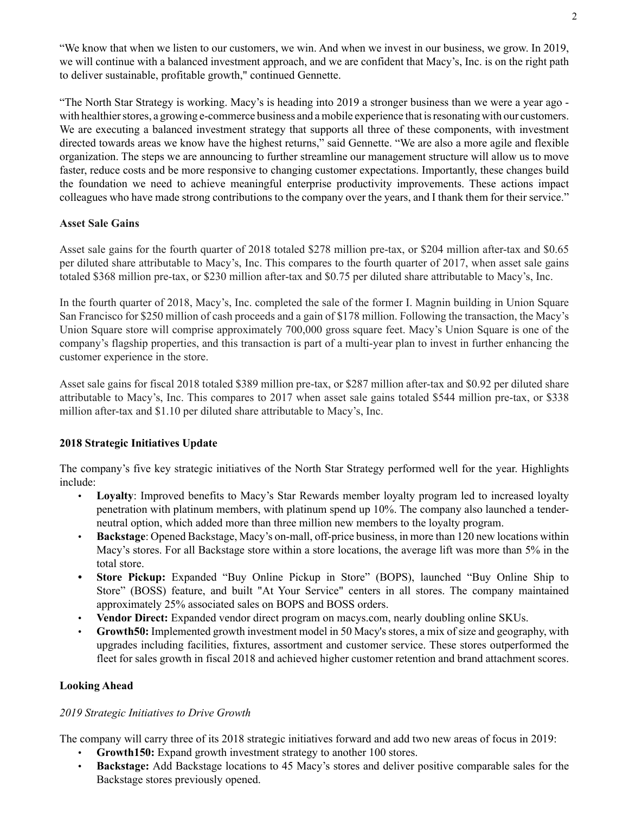"We know that when we listen to our customers, we win. And when we invest in our business, we grow. In 2019, we will continue with a balanced investment approach, and we are confident that Macy's, Inc. is on the right path to deliver sustainable, profitable growth," continued Gennette.

"The North Star Strategy is working. Macy's is heading into 2019 a stronger business than we were a year ago with healthier stores, a growing e-commerce business and a mobile experience that is resonating with our customers. We are executing a balanced investment strategy that supports all three of these components, with investment directed towards areas we know have the highest returns," said Gennette. "We are also a more agile and flexible organization. The steps we are announcing to further streamline our management structure will allow us to move faster, reduce costs and be more responsive to changing customer expectations. Importantly, these changes build the foundation we need to achieve meaningful enterprise productivity improvements. These actions impact colleagues who have made strong contributions to the company over the years, and I thank them for their service."

## **Asset Sale Gains**

Asset sale gains for the fourth quarter of 2018 totaled \$278 million pre-tax, or \$204 million after-tax and \$0.65 per diluted share attributable to Macy's, Inc. This compares to the fourth quarter of 2017, when asset sale gains totaled \$368 million pre-tax, or \$230 million after-tax and \$0.75 per diluted share attributable to Macy's, Inc.

In the fourth quarter of 2018, Macy's, Inc. completed the sale of the former I. Magnin building in Union Square San Francisco for \$250 million of cash proceeds and a gain of \$178 million. Following the transaction, the Macy's Union Square store will comprise approximately 700,000 gross square feet. Macy's Union Square is one of the company's flagship properties, and this transaction is part of a multi-year plan to invest in further enhancing the customer experience in the store.

Asset sale gains for fiscal 2018 totaled \$389 million pre-tax, or \$287 million after-tax and \$0.92 per diluted share attributable to Macy's, Inc. This compares to 2017 when asset sale gains totaled \$544 million pre-tax, or \$338 million after-tax and \$1.10 per diluted share attributable to Macy's, Inc.

## **2018 Strategic Initiatives Update**

The company's five key strategic initiatives of the North Star Strategy performed well for the year. Highlights include:

- **Loyalty**: Improved benefits to Macy's Star Rewards member loyalty program led to increased loyalty penetration with platinum members, with platinum spend up 10%. The company also launched a tenderneutral option, which added more than three million new members to the loyalty program.
- **Backstage**: Opened Backstage, Macy's on-mall, off-price business, in more than 120 new locations within Macy's stores. For all Backstage store within a store locations, the average lift was more than 5% in the total store.
- **Store Pickup:** Expanded "Buy Online Pickup in Store" (BOPS), launched "Buy Online Ship to Store" (BOSS) feature, and built "At Your Service" centers in all stores. The company maintained approximately 25% associated sales on BOPS and BOSS orders.
- **Vendor Direct:** Expanded vendor direct program on macys.com, nearly doubling online SKUs.
- **Growth50:** Implemented growth investment model in 50 Macy's stores, a mix of size and geography, with upgrades including facilities, fixtures, assortment and customer service. These stores outperformed the fleet for sales growth in fiscal 2018 and achieved higher customer retention and brand attachment scores.

### **Looking Ahead**

## *2019 Strategic Initiatives to Drive Growth*

The company will carry three of its 2018 strategic initiatives forward and add two new areas of focus in 2019:

- Growth150: Expand growth investment strategy to another 100 stores.
- **Backstage:** Add Backstage locations to 45 Macy's stores and deliver positive comparable sales for the Backstage stores previously opened.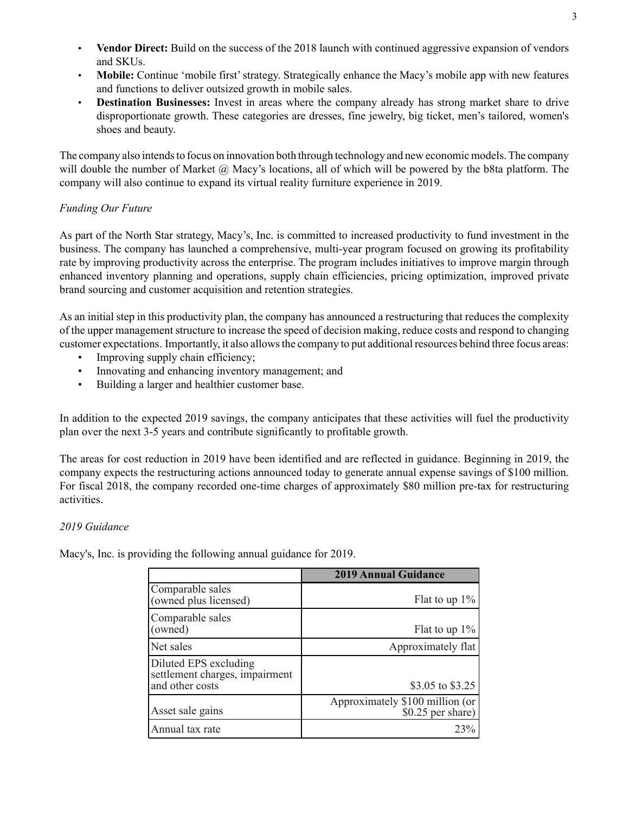- **Vendor Direct:** Build on the success of the 2018 launch with continued aggressive expansion of vendors and SKUs.
- **Mobile:** Continue 'mobile first'strategy. Strategically enhance the Macy's mobile app with new features and functions to deliver outsized growth in mobile sales.
- **Destination Businesses:** Invest in areas where the company already has strong market share to drive disproportionate growth. These categories are dresses, fine jewelry, big ticket, men's tailored, women's shoes and beauty.

The company also intends to focus on innovation both through technology and new economic models. The company will double the number of Market @ Macy's locations, all of which will be powered by the b8ta platform. The company will also continue to expand its virtual reality furniture experience in 2019.

## *Funding Our Future*

As part of the North Star strategy, Macy's, Inc. is committed to increased productivity to fund investment in the business. The company has launched a comprehensive, multi-year program focused on growing its profitability rate by improving productivity across the enterprise. The program includes initiatives to improve margin through enhanced inventory planning and operations, supply chain efficiencies, pricing optimization, improved private brand sourcing and customer acquisition and retention strategies.

As an initial step in this productivity plan, the company has announced a restructuring that reduces the complexity of the upper management structure to increase the speed of decision making, reduce costs and respond to changing customer expectations. Importantly, it also allows the company to put additional resources behind three focus areas:

- Improving supply chain efficiency:
- Innovating and enhancing inventory management; and
- Building a larger and healthier customer base.

In addition to the expected 2019 savings, the company anticipates that these activities will fuel the productivity plan over the next 3-5 years and contribute significantly to profitable growth.

The areas for cost reduction in 2019 have been identified and are reflected in guidance. Beginning in 2019, the company expects the restructuring actions announced today to generate annual expense savings of \$100 million. For fiscal 2018, the company recorded one-time charges of approximately \$80 million pre-tax for restructuring activities.

### *2019 Guidance*

Macy's, Inc. is providing the following annual guidance for 2019.

|                                                                            | <b>2019 Annual Guidance</b>                           |
|----------------------------------------------------------------------------|-------------------------------------------------------|
| Comparable sales<br>(owned plus licensed)                                  | Flat to up $1\%$                                      |
| Comparable sales<br>(owned)                                                | Flat to up $1\%$                                      |
| Net sales                                                                  | Approximately flat                                    |
| Diluted EPS excluding<br>settlement charges, impairment<br>and other costs | \$3.05 to \$3.25                                      |
| Asset sale gains                                                           | Approximately \$100 million (or<br>$$0.25$ per share) |
| Annual tax rate                                                            | 23%                                                   |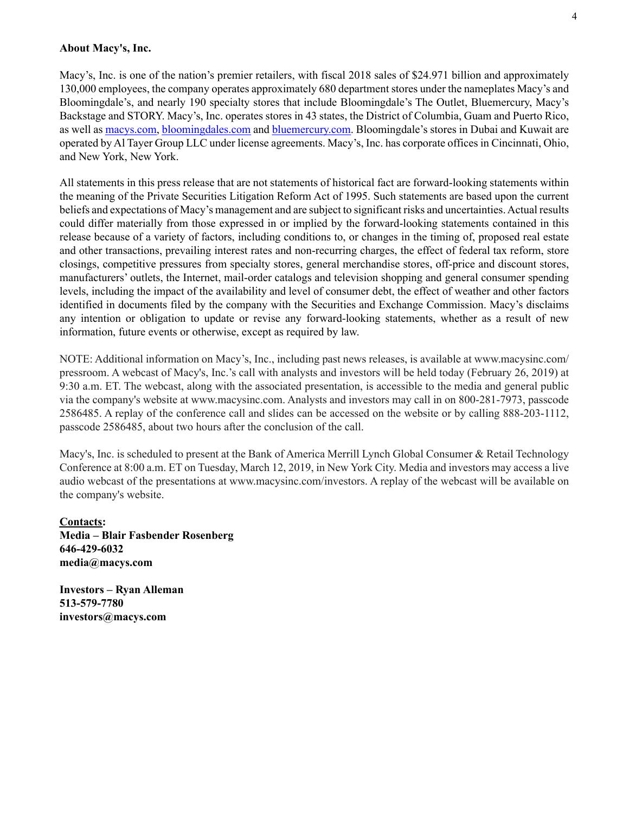#### **About Macy's, Inc.**

Macy's, Inc. is one of the nation's premier retailers, with fiscal 2018 sales of \$24.971 billion and approximately 130,000 employees, the company operates approximately 680 department stores under the nameplates Macy's and Bloomingdale's, and nearly 190 specialty stores that include Bloomingdale's The Outlet, Bluemercury, Macy's Backstage and STORY. Macy's, Inc. operates stores in 43 states, the District of Columbia, Guam and Puerto Rico, as well as macys.com, bloomingdales.com and bluemercury.com. Bloomingdale's stores in Dubai and Kuwait are operated by Al Tayer Group LLC under license agreements. Macy's, Inc. has corporate offices in Cincinnati, Ohio, and New York, New York.

All statements in this press release that are not statements of historical fact are forward-looking statements within the meaning of the Private Securities Litigation Reform Act of 1995. Such statements are based upon the current beliefs and expectations of Macy's management and are subject to significant risks and uncertainties. Actual results could differ materially from those expressed in or implied by the forward-looking statements contained in this release because of a variety of factors, including conditions to, or changes in the timing of, proposed real estate and other transactions, prevailing interest rates and non-recurring charges, the effect of federal tax reform, store closings, competitive pressures from specialty stores, general merchandise stores, off-price and discount stores, manufacturers' outlets, the Internet, mail-order catalogs and television shopping and general consumer spending levels, including the impact of the availability and level of consumer debt, the effect of weather and other factors identified in documents filed by the company with the Securities and Exchange Commission. Macy's disclaims any intention or obligation to update or revise any forward-looking statements, whether as a result of new information, future events or otherwise, except as required by law.

NOTE: Additional information on Macy's, Inc., including past news releases, is available at www.macysinc.com/ pressroom. A webcast of Macy's, Inc.'s call with analysts and investors will be held today (February 26, 2019) at 9:30 a.m. ET. The webcast, along with the associated presentation, is accessible to the media and general public via the company's website at www.macysinc.com. Analysts and investors may call in on 800-281-7973, passcode 2586485. A replay of the conference call and slides can be accessed on the website or by calling 888-203-1112, passcode 2586485, about two hours after the conclusion of the call.

Macy's, Inc. is scheduled to present at the Bank of America Merrill Lynch Global Consumer & Retail Technology Conference at 8:00 a.m. ET on Tuesday, March 12, 2019, in New York City. Media and investors may access a live audio webcast of the presentations at www.macysinc.com/investors. A replay of the webcast will be available on the company's website.

**Contacts: Media – Blair Fasbender Rosenberg 646-429-6032 media@macys.com**

**Investors – Ryan Alleman 513-579-7780 investors@macys.com**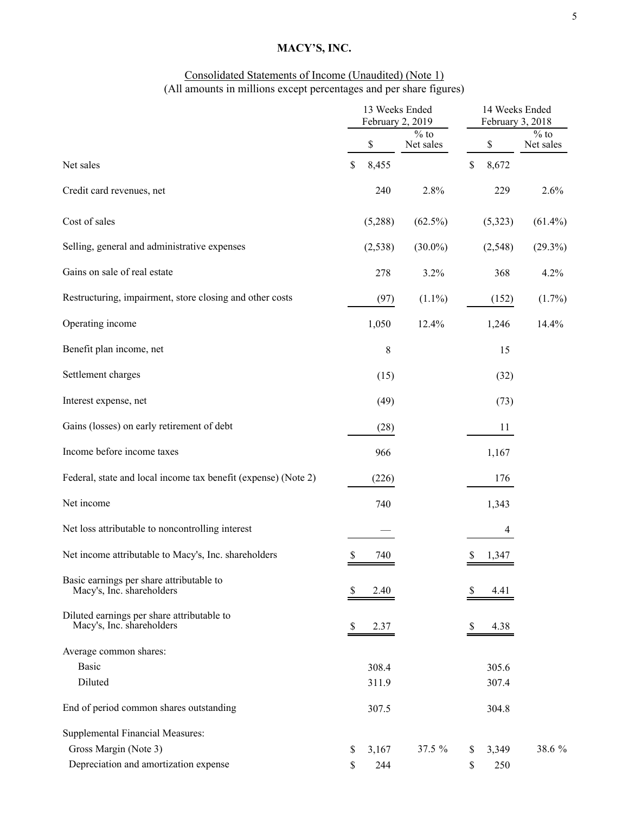#### Consolidated Statements of Income (Unaudited) (Note 1) (All amounts in millions except percentages and per share figures)

|                                                                         | 13 Weeks Ended<br>February 2, 2019 |          |                     |             | 14 Weeks Ended<br>February 3, 2018 |                     |  |
|-------------------------------------------------------------------------|------------------------------------|----------|---------------------|-------------|------------------------------------|---------------------|--|
|                                                                         |                                    | \$       | $%$ to<br>Net sales |             | \$                                 | $%$ to<br>Net sales |  |
| Net sales                                                               | \$                                 | 8,455    |                     | $\mathbb S$ | 8,672                              |                     |  |
| Credit card revenues, net                                               |                                    | 240      | 2.8%                |             | 229                                | 2.6%                |  |
| Cost of sales                                                           |                                    | (5,288)  | $(62.5\%)$          |             | (5,323)                            | $(61.4\%)$          |  |
| Selling, general and administrative expenses                            |                                    | (2, 538) | $(30.0\%)$          |             | (2, 548)                           | (29.3%)             |  |
| Gains on sale of real estate                                            |                                    | 278      | 3.2%                |             | 368                                | 4.2%                |  |
| Restructuring, impairment, store closing and other costs                |                                    | (97)     | $(1.1\%)$           |             | (152)                              | $(1.7\%)$           |  |
| Operating income                                                        |                                    | 1,050    | 12.4%               |             | 1,246                              | 14.4%               |  |
| Benefit plan income, net                                                |                                    | $\,8\,$  |                     |             | 15                                 |                     |  |
| Settlement charges                                                      |                                    | (15)     |                     |             | (32)                               |                     |  |
| Interest expense, net                                                   |                                    | (49)     |                     |             | (73)                               |                     |  |
| Gains (losses) on early retirement of debt                              |                                    | (28)     |                     |             | 11                                 |                     |  |
| Income before income taxes                                              |                                    | 966      |                     |             | 1,167                              |                     |  |
| Federal, state and local income tax benefit (expense) (Note 2)          |                                    | (226)    |                     |             | 176                                |                     |  |
| Net income                                                              |                                    | 740      |                     |             | 1,343                              |                     |  |
| Net loss attributable to noncontrolling interest                        |                                    |          |                     |             | 4                                  |                     |  |
| Net income attributable to Macy's, Inc. shareholders                    | \$                                 | 740      |                     | \$          | 1,347                              |                     |  |
| Basic earnings per share attributable to<br>Macy's, Inc. shareholders   | S                                  | 2.40     |                     |             | 4.41                               |                     |  |
| Diluted earnings per share attributable to<br>Macy's, Inc. shareholders | \$                                 | 2.37     |                     | \$          | 4.38                               |                     |  |
| Average common shares:                                                  |                                    |          |                     |             |                                    |                     |  |
| Basic                                                                   |                                    | 308.4    |                     |             | 305.6                              |                     |  |
| Diluted                                                                 |                                    | 311.9    |                     |             | 307.4                              |                     |  |
| End of period common shares outstanding                                 |                                    | 307.5    |                     |             | 304.8                              |                     |  |
| Supplemental Financial Measures:                                        |                                    |          |                     |             |                                    |                     |  |
| Gross Margin (Note 3)                                                   | \$                                 | 3,167    | 37.5 %              | \$          | 3,349                              | 38.6 %              |  |
| Depreciation and amortization expense                                   | \$                                 | 244      |                     | \$          | 250                                |                     |  |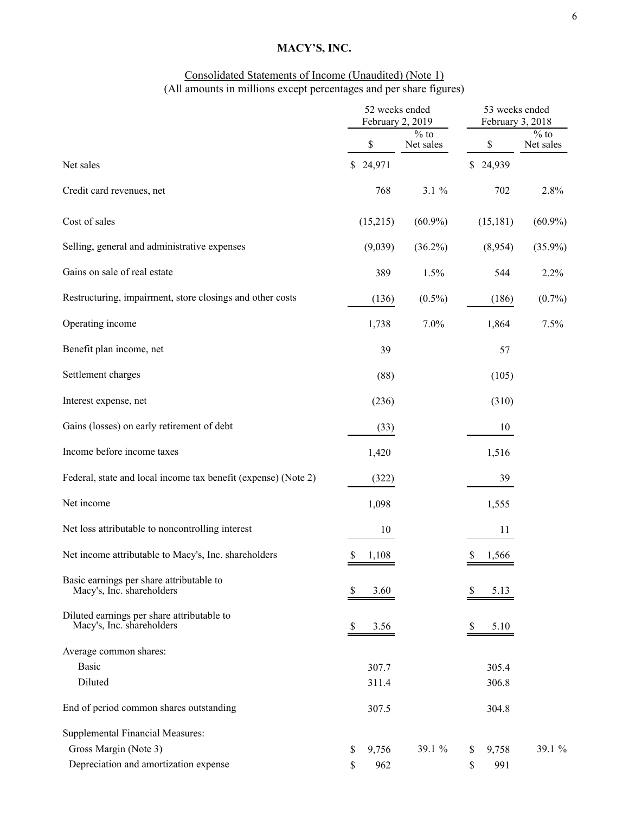#### Consolidated Statements of Income (Unaudited) (Note 1) (All amounts in millions except percentages and per share figures)

|                                                                         |             | 52 weeks ended<br>February 2, 2019   | 53 weeks ended<br>February 3, 2018 |                               |  |
|-------------------------------------------------------------------------|-------------|--------------------------------------|------------------------------------|-------------------------------|--|
|                                                                         | \$          | $\frac{1}{\sqrt{6}}$ to<br>Net sales | \$                                 | $\frac{0}{6}$ to<br>Net sales |  |
| Net sales                                                               | \$24,971    |                                      | \$24,939                           |                               |  |
| Credit card revenues, net                                               | 768         | 3.1%                                 | 702                                | 2.8%                          |  |
| Cost of sales                                                           | (15,215)    | $(60.9\%)$                           | (15, 181)                          | $(60.9\%)$                    |  |
| Selling, general and administrative expenses                            | (9,039)     | $(36.2\%)$                           | (8,954)                            | $(35.9\%)$                    |  |
| Gains on sale of real estate                                            | 389         | 1.5%                                 | 544                                | 2.2%                          |  |
| Restructuring, impairment, store closings and other costs               | (136)       | $(0.5\%)$                            | (186)                              | $(0.7\%)$                     |  |
| Operating income                                                        | 1,738       | 7.0%                                 | 1,864                              | 7.5%                          |  |
| Benefit plan income, net                                                | 39          |                                      | 57                                 |                               |  |
| Settlement charges                                                      | (88)        |                                      | (105)                              |                               |  |
| Interest expense, net                                                   | (236)       |                                      | (310)                              |                               |  |
| Gains (losses) on early retirement of debt                              | (33)        |                                      | 10                                 |                               |  |
| Income before income taxes                                              | 1,420       |                                      | 1,516                              |                               |  |
| Federal, state and local income tax benefit (expense) (Note 2)          | (322)       |                                      | 39                                 |                               |  |
| Net income                                                              | 1,098       |                                      | 1,555                              |                               |  |
| Net loss attributable to noncontrolling interest                        | 10          |                                      | 11                                 |                               |  |
| Net income attributable to Macy's, Inc. shareholders                    | 1,108<br>\$ |                                      | 1,566<br>\$                        |                               |  |
| Basic earnings per share attributable to<br>Macy's, Inc. shareholders   | \$<br>3.60  |                                      | \$<br>5.13                         |                               |  |
| Diluted earnings per share attributable to<br>Macy's, Inc. shareholders | \$<br>3.56  |                                      | S<br>5.10                          |                               |  |
| Average common shares:                                                  |             |                                      |                                    |                               |  |
| <b>Basic</b><br>Diluted                                                 | 307.7       |                                      | 305.4                              |                               |  |
|                                                                         | 311.4       |                                      | 306.8                              |                               |  |
| End of period common shares outstanding                                 | 307.5       |                                      | 304.8                              |                               |  |
| <b>Supplemental Financial Measures:</b>                                 |             |                                      |                                    |                               |  |
| Gross Margin (Note 3)                                                   | \$<br>9,756 | 39.1 %                               | \$<br>9,758                        | 39.1 %                        |  |
| Depreciation and amortization expense                                   | \$<br>962   |                                      | \$<br>991                          |                               |  |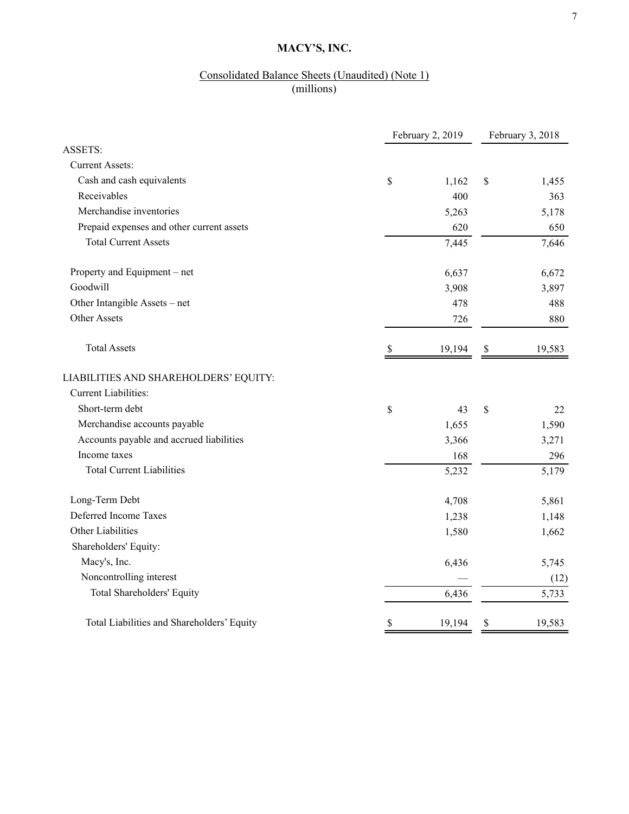# Consolidated Balance Sheets (Unaudited) (Note 1) (millions)

|                                            | February 2, 2019 |        |               | February 3, 2018 |  |  |
|--------------------------------------------|------------------|--------|---------------|------------------|--|--|
| <b>ASSETS:</b>                             |                  |        |               |                  |  |  |
| <b>Current Assets:</b>                     |                  |        |               |                  |  |  |
| Cash and cash equivalents                  | \$               | 1,162  | $\mathsf{\$}$ | 1,455            |  |  |
| Receivables                                |                  | 400    |               | 363              |  |  |
| Merchandise inventories                    |                  | 5,263  |               | 5,178            |  |  |
| Prepaid expenses and other current assets  |                  | 620    |               | 650              |  |  |
| <b>Total Current Assets</b>                |                  | 7,445  |               | 7,646            |  |  |
| Property and Equipment – net               |                  | 6,637  |               | 6,672            |  |  |
| Goodwill                                   |                  | 3,908  |               | 3,897            |  |  |
| Other Intangible Assets - net              |                  | 478    |               | 488              |  |  |
| <b>Other Assets</b>                        |                  | 726    |               | 880              |  |  |
| <b>Total Assets</b>                        | \$               | 19,194 | \$            | 19,583           |  |  |
| LIABILITIES AND SHAREHOLDERS' EQUITY:      |                  |        |               |                  |  |  |
| <b>Current Liabilities:</b>                |                  |        |               |                  |  |  |
| Short-term debt                            | \$               | 43     | $\mathsf{\$}$ | 22               |  |  |
| Merchandise accounts payable               |                  | 1,655  |               | 1,590            |  |  |
| Accounts payable and accrued liabilities   |                  | 3,366  |               | 3,271            |  |  |
| Income taxes                               |                  | 168    |               | 296              |  |  |
| <b>Total Current Liabilities</b>           |                  | 5,232  |               | 5,179            |  |  |
| Long-Term Debt                             |                  | 4,708  |               | 5,861            |  |  |
| Deferred Income Taxes                      |                  | 1,238  |               | 1,148            |  |  |
| Other Liabilities                          |                  | 1,580  |               | 1,662            |  |  |
| Shareholders' Equity:                      |                  |        |               |                  |  |  |
| Macy's, Inc.                               |                  | 6,436  |               | 5,745            |  |  |
| Noncontrolling interest                    |                  |        |               | (12)             |  |  |
| Total Shareholders' Equity                 |                  | 6,436  |               | 5,733            |  |  |
| Total Liabilities and Shareholders' Equity | \$               | 19,194 | \$            | 19,583           |  |  |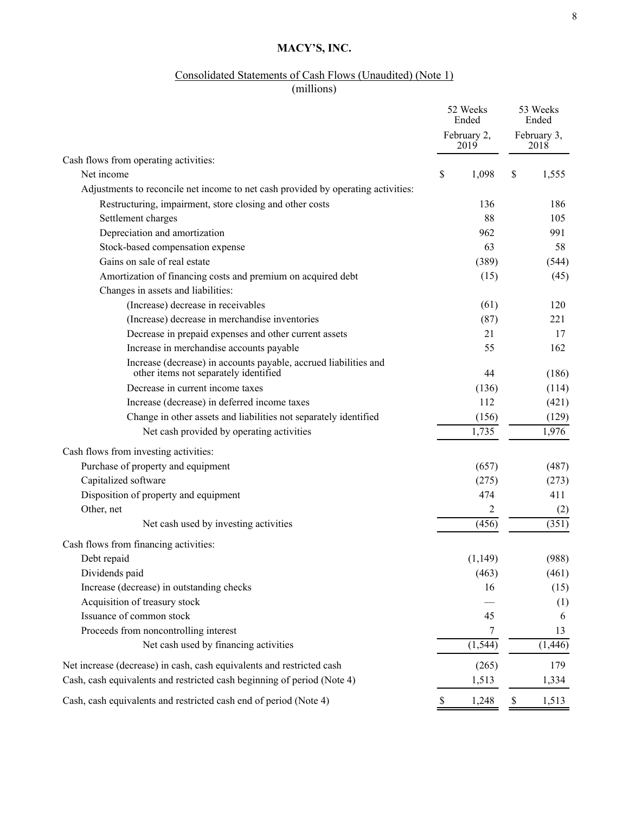# Consolidated Statements of Cash Flows (Unaudited) (Note 1)

(millions)

|                                                                                                           | 52 Weeks<br>Ended<br>February 2, |             | 53 Weeks<br>Ended   |
|-----------------------------------------------------------------------------------------------------------|----------------------------------|-------------|---------------------|
|                                                                                                           | 2019                             |             | February 3,<br>2018 |
| Cash flows from operating activities:                                                                     |                                  |             |                     |
| Net income                                                                                                | \$<br>1,098                      | \$          | 1,555               |
| Adjustments to reconcile net income to net cash provided by operating activities:                         |                                  |             |                     |
| Restructuring, impairment, store closing and other costs                                                  | 136                              |             | 186                 |
| Settlement charges                                                                                        | 88                               |             | 105                 |
| Depreciation and amortization                                                                             | 962                              |             | 991                 |
| Stock-based compensation expense                                                                          | 63                               |             | 58                  |
| Gains on sale of real estate                                                                              | (389)                            |             | (544)               |
| Amortization of financing costs and premium on acquired debt                                              | (15)                             |             | (45)                |
| Changes in assets and liabilities:                                                                        |                                  |             |                     |
| (Increase) decrease in receivables                                                                        | (61)                             |             | 120                 |
| (Increase) decrease in merchandise inventories                                                            | (87)                             |             | 221                 |
| Decrease in prepaid expenses and other current assets                                                     | 21                               |             | 17                  |
| Increase in merchandise accounts payable                                                                  | 55                               |             | 162                 |
| Increase (decrease) in accounts payable, accrued liabilities and<br>other items not separately identified | 44                               |             | (186)               |
| Decrease in current income taxes                                                                          | (136)                            |             | (114)               |
| Increase (decrease) in deferred income taxes                                                              | 112                              |             | (421)               |
| Change in other assets and liabilities not separately identified                                          | (156)                            |             | (129)               |
| Net cash provided by operating activities                                                                 | 1,735                            |             | 1,976               |
| Cash flows from investing activities:                                                                     |                                  |             |                     |
| Purchase of property and equipment                                                                        | (657)                            |             | (487)               |
| Capitalized software                                                                                      | (275)                            |             | (273)               |
| Disposition of property and equipment                                                                     | 474                              |             | 411                 |
| Other, net                                                                                                | 2                                |             | (2)                 |
| Net cash used by investing activities                                                                     | (456)                            |             | (351)               |
| Cash flows from financing activities:                                                                     |                                  |             |                     |
| Debt repaid                                                                                               | (1,149)                          |             | (988)               |
| Dividends paid                                                                                            | (463)                            |             | (461)               |
| Increase (decrease) in outstanding checks                                                                 | 16                               |             | (15)                |
| Acquisition of treasury stock                                                                             |                                  |             | (1)                 |
| Issuance of common stock                                                                                  | 45                               |             | 6                   |
| Proceeds from noncontrolling interest                                                                     | 7                                |             | 13                  |
| Net cash used by financing activities                                                                     | (1, 544)                         |             | (1, 446)            |
| Net increase (decrease) in cash, cash equivalents and restricted cash                                     | (265)                            |             | 179                 |
| Cash, cash equivalents and restricted cash beginning of period (Note 4)                                   | 1,513                            |             | 1,334               |
| Cash, cash equivalents and restricted cash end of period (Note 4)                                         | \$<br>1,248                      | $\mathbb S$ | 1,513               |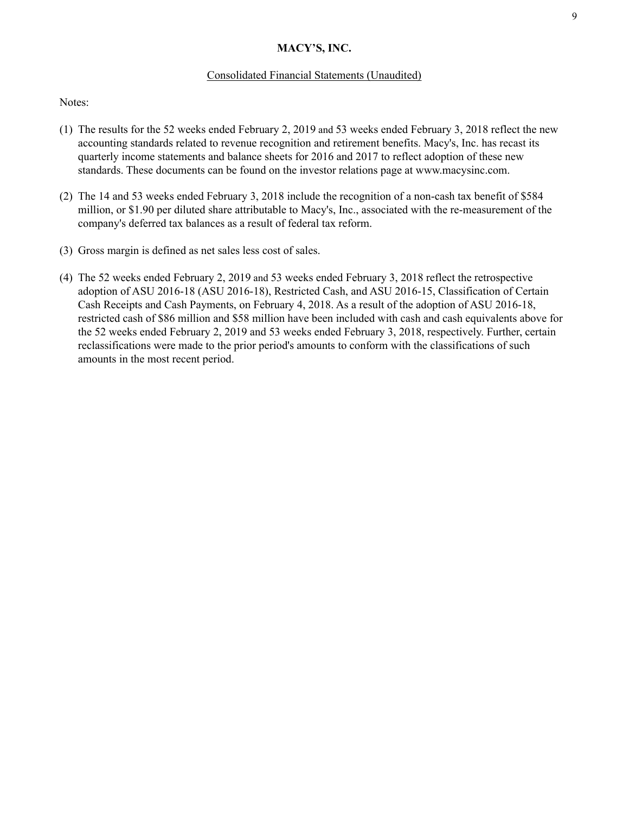#### Consolidated Financial Statements (Unaudited)

Notes:

- (1) The results for the 52 weeks ended February 2, 2019 and 53 weeks ended February 3, 2018 reflect the new accounting standards related to revenue recognition and retirement benefits. Macy's, Inc. has recast its quarterly income statements and balance sheets for 2016 and 2017 to reflect adoption of these new standards. These documents can be found on the investor relations page at www.macysinc.com.
- (2) The 14 and 53 weeks ended February 3, 2018 include the recognition of a non-cash tax benefit of \$584 million, or \$1.90 per diluted share attributable to Macy's, Inc., associated with the re-measurement of the company's deferred tax balances as a result of federal tax reform.
- (3) Gross margin is defined as net sales less cost of sales.
- (4) The 52 weeks ended February 2, 2019 and 53 weeks ended February 3, 2018 reflect the retrospective adoption of ASU 2016-18 (ASU 2016-18), Restricted Cash, and ASU 2016-15, Classification of Certain Cash Receipts and Cash Payments, on February 4, 2018. As a result of the adoption of ASU 2016-18, restricted cash of \$86 million and \$58 million have been included with cash and cash equivalents above for the 52 weeks ended February 2, 2019 and 53 weeks ended February 3, 2018, respectively. Further, certain reclassifications were made to the prior period's amounts to conform with the classifications of such amounts in the most recent period.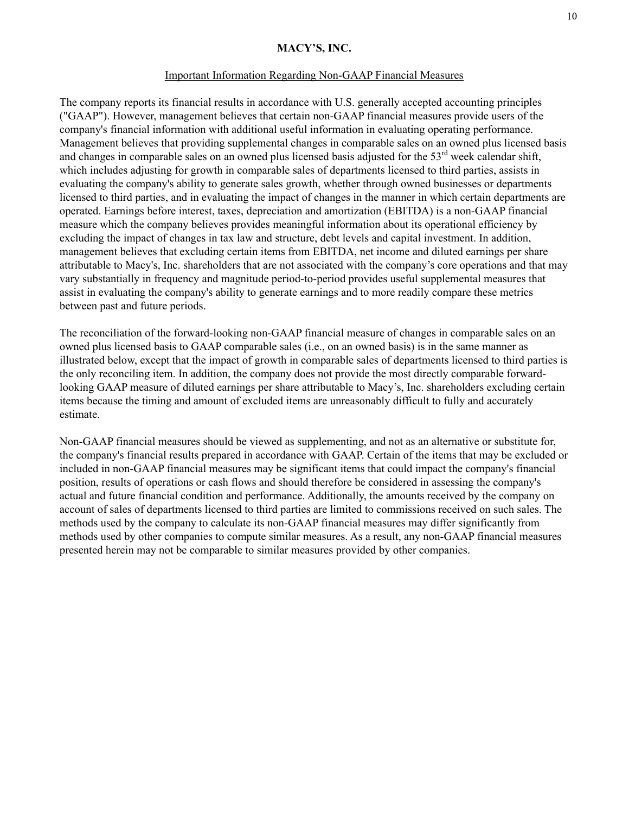#### Important Information Regarding Non-GAAP Financial Measures

The company reports its financial results in accordance with U.S. generally accepted accounting principles ("GAAP"). However, management believes that certain non-GAAP financial measures provide users of the company's financial information with additional useful information in evaluating operating performance. Management believes that providing supplemental changes in comparable sales on an owned plus licensed basis and changes in comparable sales on an owned plus licensed basis adjusted for the 53<sup>rd</sup> week calendar shift, which includes adjusting for growth in comparable sales of departments licensed to third parties, assists in evaluating the company's ability to generate sales growth, whether through owned businesses or departments licensed to third parties, and in evaluating the impact of changes in the manner in which certain departments are operated. Earnings before interest, taxes, depreciation and amortization (EBITDA) is a non-GAAP financial measure which the company believes provides meaningful information about its operational efficiency by excluding the impact of changes in tax law and structure, debt levels and capital investment. In addition, management believes that excluding certain items from EBITDA, net income and diluted earnings per share attributable to Macy's, Inc. shareholders that are not associated with the company's core operations and that may vary substantially in frequency and magnitude period-to-period provides useful supplemental measures that assist in evaluating the company's ability to generate earnings and to more readily compare these metrics between past and future periods.

The reconciliation of the forward-looking non-GAAP financial measure of changes in comparable sales on an owned plus licensed basis to GAAP comparable sales (i.e., on an owned basis) is in the same manner as illustrated below, except that the impact of growth in comparable sales of departments licensed to third parties is the only reconciling item. In addition, the company does not provide the most directly comparable forwardlooking GAAP measure of diluted earnings per share attributable to Macy's, Inc. shareholders excluding certain items because the timing and amount of excluded items are unreasonably difficult to fully and accurately estimate.

Non-GAAP financial measures should be viewed as supplementing, and not as an alternative or substitute for, the company's financial results prepared in accordance with GAAP. Certain of the items that may be excluded or included in non-GAAP financial measures may be significant items that could impact the company's financial position, results of operations or cash flows and should therefore be considered in assessing the company's actual and future financial condition and performance. Additionally, the amounts received by the company on account of sales of departments licensed to third parties are limited to commissions received on such sales. The methods used by the company to calculate its non-GAAP financial measures may differ significantly from methods used by other companies to compute similar measures. As a result, any non-GAAP financial measures presented herein may not be comparable to similar measures provided by other companies.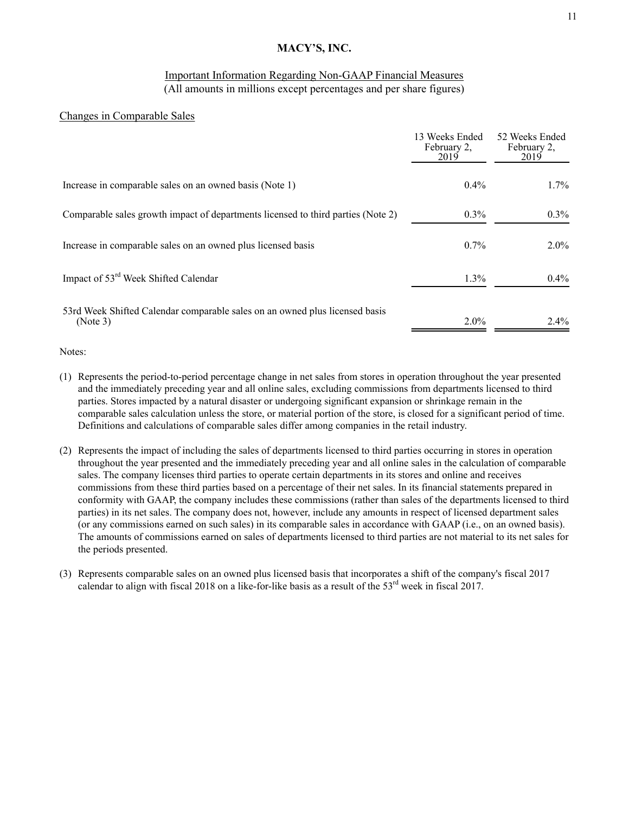#### Important Information Regarding Non-GAAP Financial Measures (All amounts in millions except percentages and per share figures)

### Changes in Comparable Sales

|                                                                                         | 13 Weeks Ended<br>February 2,<br>2019 | 52 Weeks Ended<br>February 2,<br>2019 |
|-----------------------------------------------------------------------------------------|---------------------------------------|---------------------------------------|
| Increase in comparable sales on an owned basis (Note 1)                                 | $0.4\%$                               | 1.7%                                  |
| Comparable sales growth impact of departments licensed to third parties (Note 2)        | $0.3\%$                               | 0.3%                                  |
| Increase in comparable sales on an owned plus licensed basis                            | $0.7\%$                               | $2.0\%$                               |
| Impact of 53 <sup>rd</sup> Week Shifted Calendar                                        | $1.3\%$                               | 0.4%                                  |
| 53rd Week Shifted Calendar comparable sales on an owned plus licensed basis<br>(Note 3) | $2.0\%$                               | $2.4\%$                               |

Notes:

- (1) Represents the period-to-period percentage change in net sales from stores in operation throughout the year presented and the immediately preceding year and all online sales, excluding commissions from departments licensed to third parties. Stores impacted by a natural disaster or undergoing significant expansion or shrinkage remain in the comparable sales calculation unless the store, or material portion of the store, is closed for a significant period of time. Definitions and calculations of comparable sales differ among companies in the retail industry.
- (2) Represents the impact of including the sales of departments licensed to third parties occurring in stores in operation throughout the year presented and the immediately preceding year and all online sales in the calculation of comparable sales. The company licenses third parties to operate certain departments in its stores and online and receives commissions from these third parties based on a percentage of their net sales. In its financial statements prepared in conformity with GAAP, the company includes these commissions (rather than sales of the departments licensed to third parties) in its net sales. The company does not, however, include any amounts in respect of licensed department sales (or any commissions earned on such sales) in its comparable sales in accordance with GAAP (i.e., on an owned basis). The amounts of commissions earned on sales of departments licensed to third parties are not material to its net sales for the periods presented.
- (3) Represents comparable sales on an owned plus licensed basis that incorporates a shift of the company's fiscal 2017 calendar to align with fiscal 2018 on a like-for-like basis as a result of the  $53<sup>rd</sup>$  week in fiscal 2017.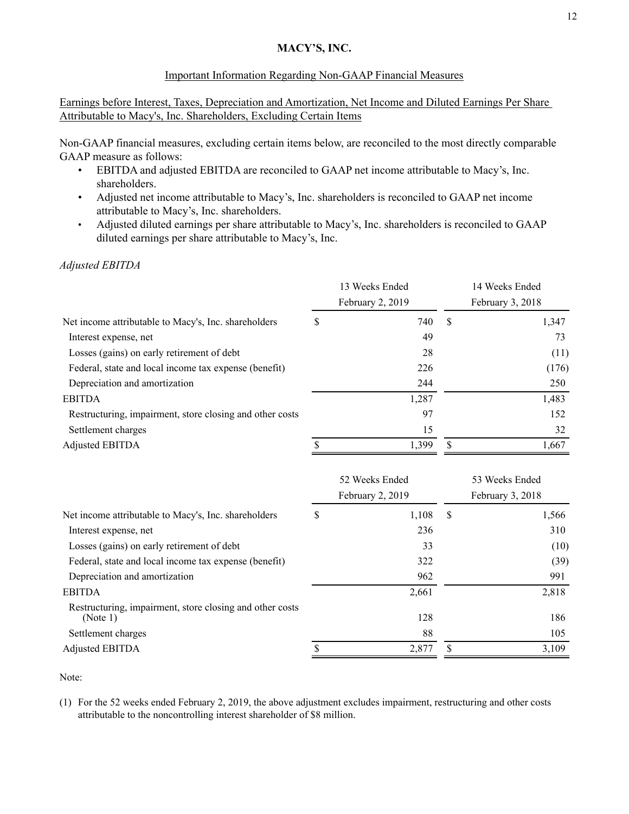#### Important Information Regarding Non-GAAP Financial Measures

Earnings before Interest, Taxes, Depreciation and Amortization, Net Income and Diluted Earnings Per Share Attributable to Macy's, Inc. Shareholders, Excluding Certain Items

Non-GAAP financial measures, excluding certain items below, are reconciled to the most directly comparable GAAP measure as follows:

- EBITDA and adjusted EBITDA are reconciled to GAAP net income attributable to Macy's, Inc. shareholders.
- Adjusted net income attributable to Macy's, Inc. shareholders is reconciled to GAAP net income attributable to Macy's, Inc. shareholders.
- Adjusted diluted earnings per share attributable to Macy's, Inc. shareholders is reconciled to GAAP diluted earnings per share attributable to Macy's, Inc.

### *Adjusted EBITDA*

|                                                          | 13 Weeks Ended   |   | 14 Weeks Ended   |
|----------------------------------------------------------|------------------|---|------------------|
|                                                          | February 2, 2019 |   | February 3, 2018 |
| Net income attributable to Macy's, Inc. shareholders     | \$<br>740        | S | 1,347            |
| Interest expense, net                                    | 49               |   | 73               |
| Losses (gains) on early retirement of debt               | 28               |   | (11)             |
| Federal, state and local income tax expense (benefit)    | 226              |   | (176)            |
| Depreciation and amortization                            | 244              |   | 250              |
| <b>EBITDA</b>                                            | 1,287            |   | 1,483            |
| Restructuring, impairment, store closing and other costs | 97               |   | 152              |
| Settlement charges                                       | 15               |   | 32               |
| Adjusted EBITDA                                          | 1,399            |   | 1,667            |

|                                                                      | 52 Weeks Ended   |   | 53 Weeks Ended   |
|----------------------------------------------------------------------|------------------|---|------------------|
|                                                                      | February 2, 2019 |   | February 3, 2018 |
| Net income attributable to Macy's, Inc. shareholders                 | \$<br>1,108      | S | 1,566            |
| Interest expense, net                                                | 236              |   | 310              |
| Losses (gains) on early retirement of debt                           | 33               |   | (10)             |
| Federal, state and local income tax expense (benefit)                | 322              |   | (39)             |
| Depreciation and amortization                                        | 962              |   | 991              |
| <b>EBITDA</b>                                                        | 2,661            |   | 2,818            |
| Restructuring, impairment, store closing and other costs<br>(Note 1) | 128              |   | 186              |
| Settlement charges                                                   | 88               |   | 105              |
| <b>Adjusted EBITDA</b>                                               | 2,877            |   | 3,109            |

Note:

(1) For the 52 weeks ended February 2, 2019, the above adjustment excludes impairment, restructuring and other costs attributable to the noncontrolling interest shareholder of \$8 million.